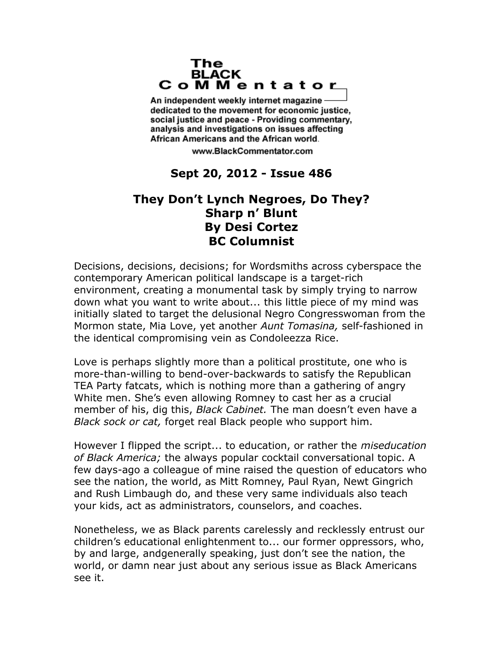## The **BLACK** CoMMentator

An independent weekly internet magazine dedicated to the movement for economic justice. social justice and peace - Providing commentary, analysis and investigations on issues affecting African Americans and the African world.

www.BlackCommentator.com

## **Sept 20, 2012 - Issue 486**

## **They Don't Lynch Negroes, Do They? Sharp n' Blunt By Desi Cortez BC Columnist**

Decisions, decisions, decisions; for Wordsmiths across cyberspace the contemporary American political landscape is a target-rich environment, creating a monumental task by simply trying to narrow down what you want to write about... this little piece of my mind was initially slated to target the delusional Negro Congresswoman from the Mormon state, Mia Love, yet another *Aunt Tomasina,* self-fashioned in the identical compromising vein as Condoleezza Rice.

Love is perhaps slightly more than a political prostitute, one who is more-than-willing to bend-over-backwards to satisfy the Republican TEA Party fatcats, which is nothing more than a gathering of angry White men. She's even allowing Romney to cast her as a crucial member of his, dig this, *Black Cabinet.* The man doesn't even have a *Black sock or cat,* forget real Black people who support him.

However I flipped the script... to education, or rather the *miseducation of Black America;* the always popular cocktail conversational topic. A few days-ago a colleague of mine raised the question of educators who see the nation, the world, as Mitt Romney, Paul Ryan, Newt Gingrich and Rush Limbaugh do, and these very same individuals also teach your kids, act as administrators, counselors, and coaches.

Nonetheless, we as Black parents carelessly and recklessly entrust our children's educational enlightenment to... our former oppressors, who, by and large, andgenerally speaking, just don't see the nation, the world, or damn near just about any serious issue as Black Americans see it.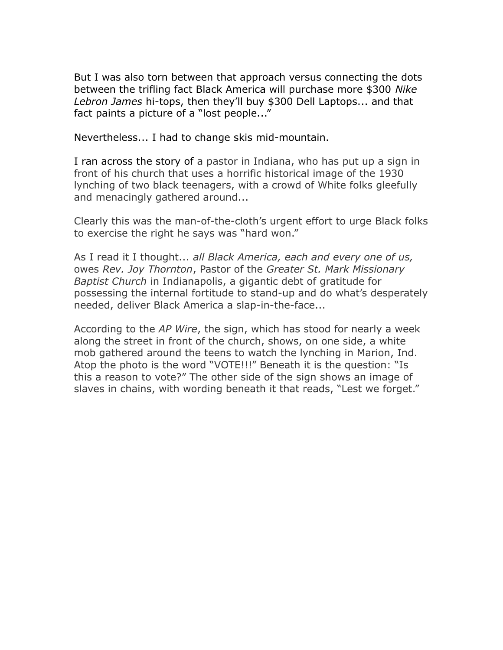But I was also torn between that approach versus connecting the dots between the trifling fact Black America will purchase more \$300 *Nike Lebron James* hi-tops, then they'll buy \$300 Dell Laptops... and that fact paints a picture of a "lost people..."

Nevertheless... I had to change skis mid-mountain.

I ran across the story of a pastor in Indiana, who has put up a sign in front of his church that uses a horrific historical image of the 1930 lynching of two black teenagers, with a crowd of White folks gleefully and menacingly gathered around...

Clearly this was the man-of-the-cloth's urgent effort to urge Black folks to exercise the right he says was "hard won."

As I read it I thought... *all Black America, each and every one of us,*  owes *Rev. Joy Thornton*, Pastor of the *Greater St. Mark Missionary Baptist Church* in Indianapolis, a gigantic debt of gratitude for possessing the internal fortitude to stand-up and do what's desperately needed, deliver Black America a slap-in-the-face...

According to the *AP Wire*, the sign, which has stood for nearly a week along the street in front of the church, shows, on one side, a white mob gathered around the teens to watch the lynching in Marion, Ind. Atop the photo is the word "VOTE!!!" Beneath it is the question: "Is this a reason to vote?" The other side of the sign shows an image of slaves in chains, with wording beneath it that reads, "Lest we forget."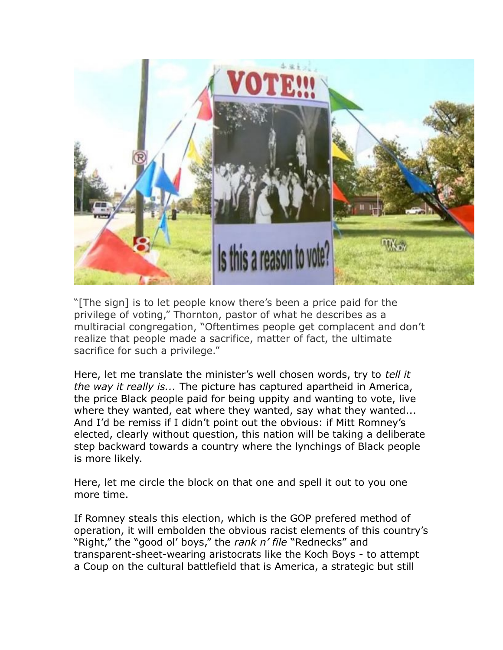

"[The sign] is to let people know there's been a price paid for the privilege of voting," Thornton, pastor of what he describes as a multiracial congregation, "Oftentimes people get complacent and don't realize that people made a sacrifice, matter of fact, the ultimate sacrifice for such a privilege."

Here, let me translate the minister's well chosen words, try to *tell it the way it really is...* The picture has captured apartheid in America, the price Black people paid for being uppity and wanting to vote, live where they wanted, eat where they wanted, say what they wanted... And I'd be remiss if I didn't point out the obvious: if Mitt Romney's elected, clearly without question, this nation will be taking a deliberate step backward towards a country where the lynchings of Black people is more likely.

Here, let me circle the block on that one and spell it out to you one more time.

If Romney steals this election, which is the GOP prefered method of operation, it will embolden the obvious racist elements of this country's "Right," the "good ol' boys," the *rank n' file* "Rednecks" and transparent-sheet-wearing aristocrats like the Koch Boys - to attempt a Coup on the cultural battlefield that is America, a strategic but still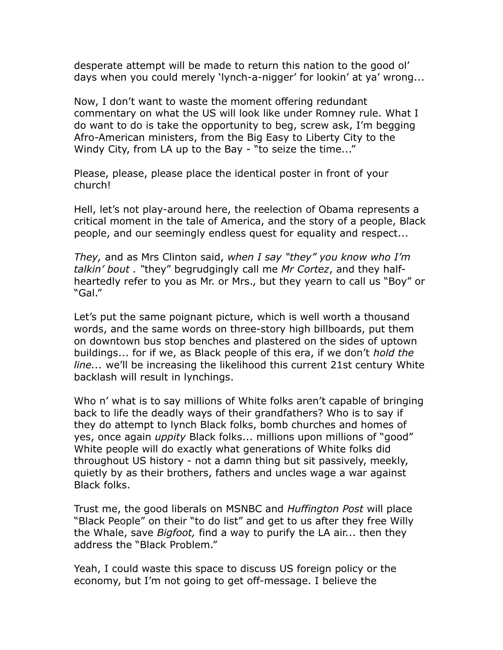desperate attempt will be made to return this nation to the good ol' days when you could merely 'lynch-a-nigger' for lookin' at ya' wrong...

Now, I don't want to waste the moment offering redundant commentary on what the US will look like under Romney rule. What I do want to do is take the opportunity to beg, screw ask, I'm begging Afro-American ministers, from the Big Easy to Liberty City to the Windy City, from LA up to the Bay - "to seize the time..."

Please, please, please place the identical poster in front of your church!

Hell, let's not play-around here, the reelection of Obama represents a critical moment in the tale of America, and the story of a people, Black people, and our seemingly endless quest for equality and respect...

*They,* and as Mrs Clinton said, *when I say "they" you know who I'm talkin' bout . "*they" begrudgingly call me *Mr Cortez*, and they halfheartedly refer to you as Mr. or Mrs., but they yearn to call us "Boy" or "Gal."

Let's put the same poignant picture, which is well worth a thousand words, and the same words on three-story high billboards, put them on downtown bus stop benches and plastered on the sides of uptown buildings... for if we, as Black people of this era, if we don't *hold the line...* we'll be increasing the likelihood this current 21st century White backlash will result in lynchings.

Who n' what is to say millions of White folks aren't capable of bringing back to life the deadly ways of their grandfathers? Who is to say if they do attempt to lynch Black folks, bomb churches and homes of yes, once again *uppity* Black folks... millions upon millions of "good" White people will do exactly what generations of White folks did throughout US history - not a damn thing but sit passively, meekly, quietly by as their brothers, fathers and uncles wage a war against Black folks.

Trust me, the good liberals on MSNBC and *Huffington Post* will place "Black People" on their "to do list" and get to us after they free Willy the Whale, save *Bigfoot,* find a way to purify the LA air... then they address the "Black Problem."

Yeah, I could waste this space to discuss US foreign policy or the economy, but I'm not going to get off-message. I believe the